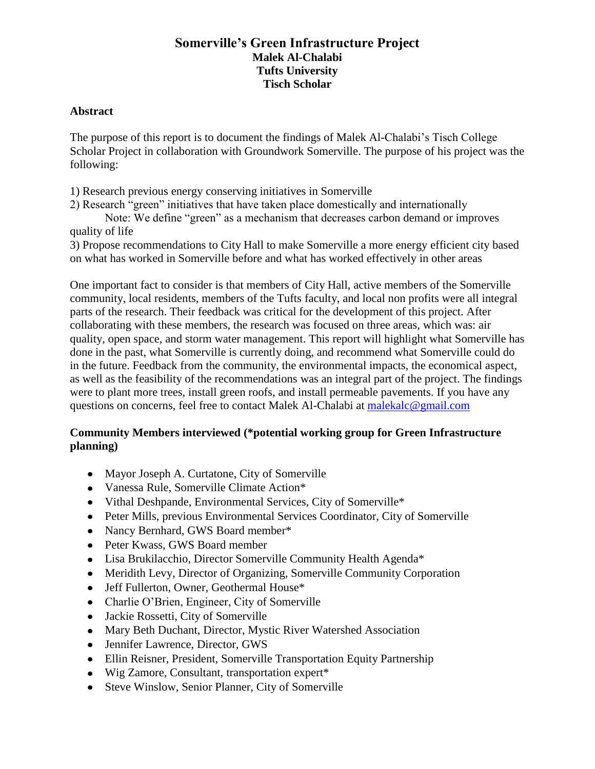# **Somerville's Green Infrastructure Project Malek Al-Chalabi Tufts University Tisch Scholar**

## **Abstract**

The purpose of this report is to document the findings of Malek Al-Chalabi's Tisch College Scholar Project in collaboration with Groundwork Somerville. The purpose of his project was the following:

- 1) Research previous energy conserving initiatives in Somerville
- 2) Research "green" initiatives that have taken place domestically and internationally

Note: We define "green" as a mechanism that decreases carbon demand or improves quality of life

3) Propose recommendations to City Hall to make Somerville a more energy efficient city based on what has worked in Somerville before and what has worked effectively in other areas

One important fact to consider is that members of City Hall, active members of the Somerville community, local residents, members of the Tufts faculty, and local non profits were all integral parts of the research. Their feedback was critical for the development of this project. After collaborating with these members, the research was focused on three areas, which was: air quality, open space, and storm water management. This report will highlight what Somerville has done in the past, what Somerville is currently doing, and recommend what Somerville could do in the future. Feedback from the community, the environmental impacts, the economical aspect, as well as the feasibility of the recommendations was an integral part of the project. The findings were to plant more trees, install green roofs, and install permeable pavements. If you have any questions on concerns, feel free to contact Malek Al-Chalabi at [malekalc@gmail.com](mailto:malekalc@gmail.com)

# **Community Members interviewed (\*potential working group for Green Infrastructure planning)**

- Mayor Joseph A. Curtatone, City of Somerville
- Vanessa Rule, Somerville Climate Action\*
- Vithal Deshpande, Environmental Services, City of Somerville\*
- Peter Mills, previous Environmental Services Coordinator, City of Somerville
- Nancy Bernhard, GWS Board member\*
- Peter Kwass, GWS Board member
- Lisa Brukilacchio, Director Somerville Community Health Agenda\*
- Meridith Levy, Director of Organizing, Somerville Community Corporation
- Jeff Fullerton, Owner, Geothermal House\*
- Charlie O'Brien, Engineer, City of Somerville
- Jackie Rossetti, City of Somerville
- Mary Beth Duchant, Director, Mystic River Watershed Association
- Jennifer Lawrence, Director, GWS
- Ellin Reisner, President, Somerville Transportation Equity Partnership
- Wig Zamore, Consultant, transportation expert\*
- Steve Winslow, Senior Planner, City of Somerville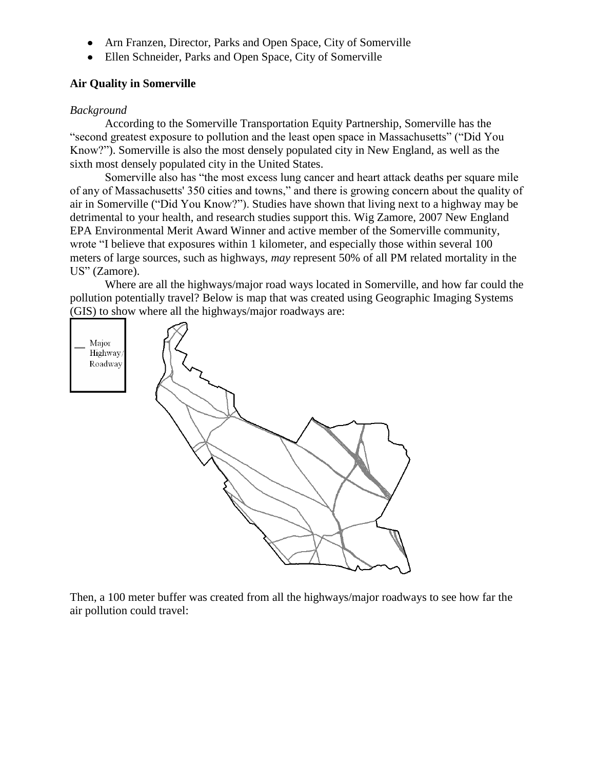- Arn Franzen, Director, Parks and Open Space, City of Somerville
- Ellen Schneider, Parks and Open Space, City of Somerville

## **Air Quality in Somerville**

## *Background*

According to the Somerville Transportation Equity Partnership, Somerville has the "second greatest exposure to pollution and the least open space in Massachusetts" ("Did You Know?"). Somerville is also the most densely populated city in New England, as well as the sixth most densely populated city in the United States.

Somerville also has "the most excess lung cancer and heart attack deaths per square mile of any of Massachusetts' 350 cities and towns," and there is growing concern about the quality of air in Somerville ("Did You Know?"). Studies have shown that living next to a highway may be detrimental to your health, and research studies support this. Wig Zamore, 2007 New England EPA Environmental Merit Award Winner and active member of the Somerville community, wrote "I believe that exposures within 1 kilometer, and especially those within several 100 meters of large sources, such as highways, *may* represent 50% of all PM related mortality in the US" (Zamore).

Where are all the highways/major road ways located in Somerville, and how far could the pollution potentially travel? Below is map that was created using Geographic Imaging Systems (GIS) to show where all the highways/major roadways are:



Then, a 100 meter buffer was created from all the highways/major roadways to see how far the air pollution could travel: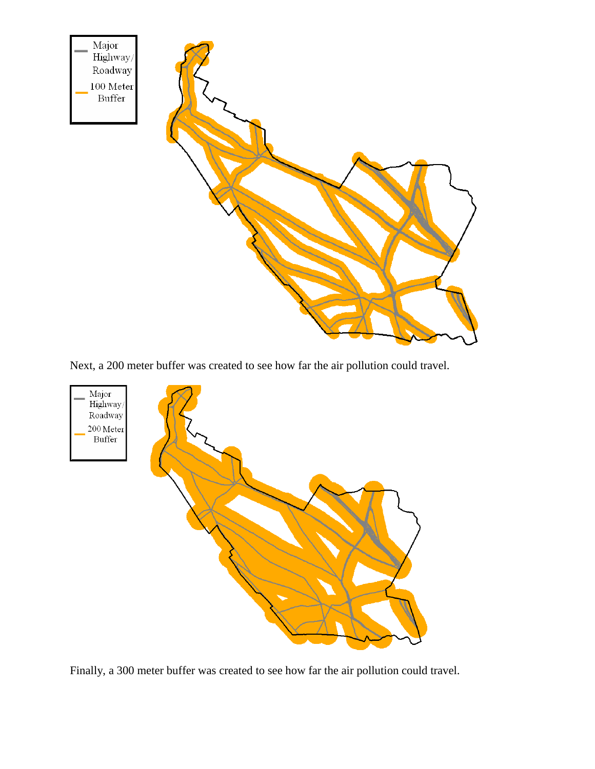

Next, a 200 meter buffer was created to see how far the air pollution could travel.



Finally, a 300 meter buffer was created to see how far the air pollution could travel.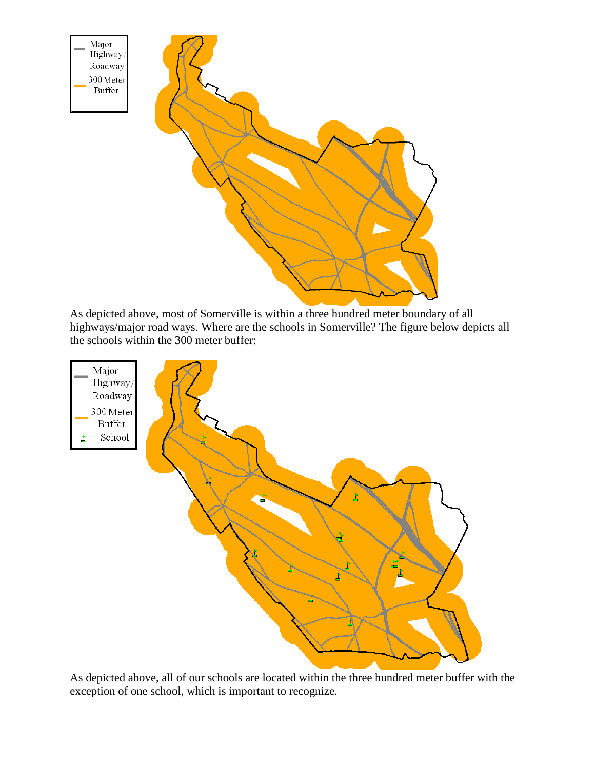

As depicted above, most of Somerville is within a three hundred meter boundary of all highways/major road ways. Where are the schools in Somerville? The figure below depicts all the schools within the 300 meter buffer:



As depicted above, all of our schools are located within the three hundred meter buffer with the exception of one school, which is important to recognize.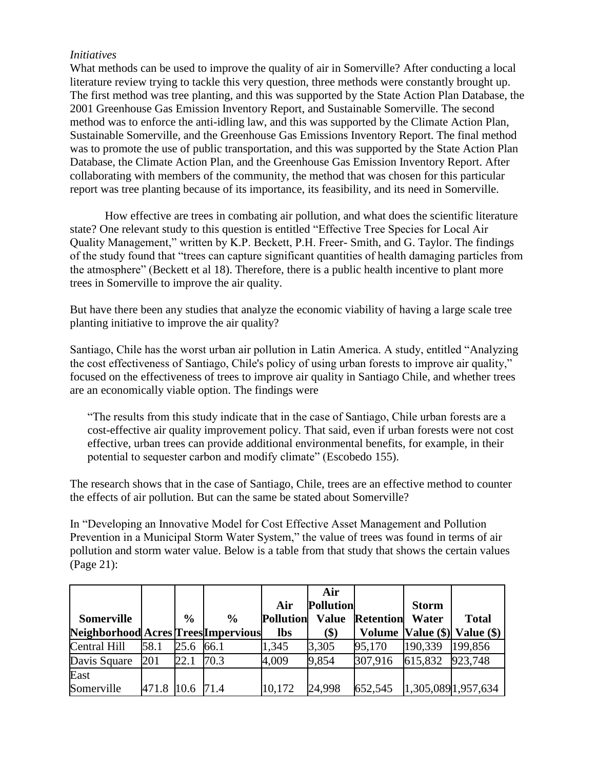## *Initiatives*

What methods can be used to improve the quality of air in Somerville? After conducting a local literature review trying to tackle this very question, three methods were constantly brought up. The first method was tree planting, and this was supported by the State Action Plan Database, the 2001 Greenhouse Gas Emission Inventory Report, and Sustainable Somerville. The second method was to enforce the anti-idling law, and this was supported by the Climate Action Plan, Sustainable Somerville, and the Greenhouse Gas Emissions Inventory Report. The final method was to promote the use of public transportation, and this was supported by the State Action Plan Database, the Climate Action Plan, and the Greenhouse Gas Emission Inventory Report. After collaborating with members of the community, the method that was chosen for this particular report was tree planting because of its importance, its feasibility, and its need in Somerville.

How effective are trees in combating air pollution, and what does the scientific literature state? One relevant study to this question is entitled "Effective Tree Species for Local Air Quality Management," written by K.P. Beckett, P.H. Freer- Smith, and G. Taylor. The findings of the study found that "trees can capture significant quantities of health damaging particles from the atmosphere" (Beckett et al 18). Therefore, there is a public health incentive to plant more trees in Somerville to improve the air quality.

But have there been any studies that analyze the economic viability of having a large scale tree planting initiative to improve the air quality?

Santiago, Chile has the worst urban air pollution in Latin America. A study, entitled "Analyzing the cost effectiveness of Santiago, Chile's policy of using urban forests to improve air quality," focused on the effectiveness of trees to improve air quality in Santiago Chile, and whether trees are an economically viable option. The findings were

"The results from this study indicate that in the case of Santiago, Chile urban forests are a cost-effective air quality improvement policy. That said, even if urban forests were not cost effective, urban trees can provide additional environmental benefits, for example, in their potential to sequester carbon and modify climate" (Escobedo 155).

The research shows that in the case of Santiago, Chile, trees are an effective method to counter the effects of air pollution. But can the same be stated about Somerville?

In "Developing an Innovative Model for Cost Effective Asset Management and Pollution Prevention in a Municipal Storm Water System," the value of trees was found in terms of air pollution and storm water value. Below is a table from that study that shows the certain values (Page 21):

|                                     |            |               |               |                  | Air              |                  |              |                                  |
|-------------------------------------|------------|---------------|---------------|------------------|------------------|------------------|--------------|----------------------------------|
|                                     |            |               |               | Air              | <b>Pollution</b> |                  | <b>Storm</b> |                                  |
| <b>Somerville</b>                   |            | $\frac{6}{6}$ | $\frac{0}{0}$ | <b>Pollution</b> | <b>Value</b>     | <b>Retention</b> | Water        | <b>Total</b>                     |
| Neighborhood Acres Trees Impervious |            |               |               | <b>lbs</b>       | \$)              |                  |              | Volume   Value (\$)   Value (\$) |
| Central Hill                        | 58.1       | 25.6          | <b>66.1</b>   | 1,345            | 3,305            | 95,170           | 190,339      | 199,856                          |
| Davis Square                        | 201        | 22.1          | 70.3          | 4,009            | 9,854            | 307,916          | 615,832      | 923,748                          |
| East                                |            |               |               |                  |                  |                  |              |                                  |
| Somerville                          | 471.8 10.6 |               | 71.4          | 10,172           | 24,998           | 652,545          |              | 1,305,0891,957,634               |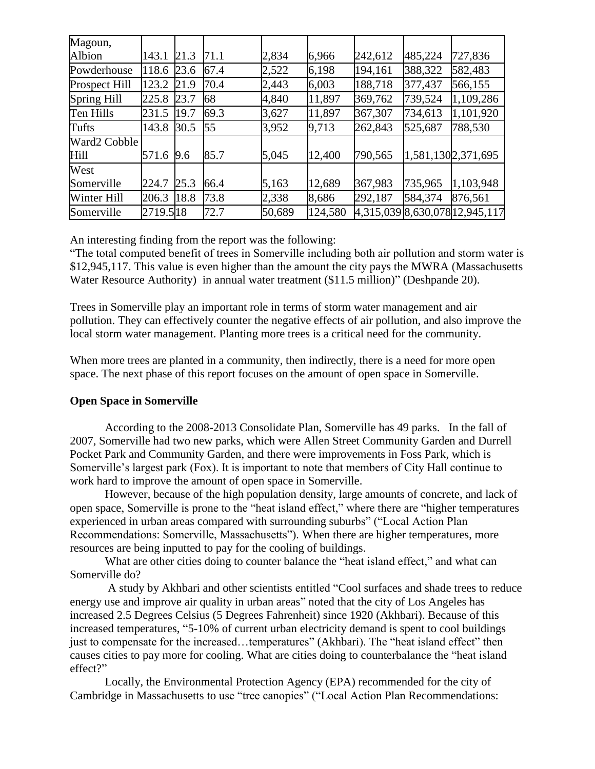| Magoun,       |          |      |      |        |         |         |         |                                |
|---------------|----------|------|------|--------|---------|---------|---------|--------------------------------|
| Albion        | 143.1    | 21.3 | 71.1 | 2,834  | 6,966   | 242,612 | 485,224 | 727,836                        |
| Powderhouse   | 118.6    | 23.6 | 67.4 | 2,522  | 6,198   | 194,161 | 388,322 | 582,483                        |
| Prospect Hill | 123.2    | 21.9 | 70.4 | 2,443  | 6,003   | 188,718 | 377,437 | 566,155                        |
| Spring Hill   | 225.8    | 23.7 | 68   | 4,840  | 11,897  | 369,762 | 739,524 | 1,109,286                      |
| Ten Hills     | 231.5    | 19.7 | 69.3 | 3,627  | 11,897  | 367,307 | 734,613 | 1,101,920                      |
| Tufts         | 143.8    | 30.5 | 55   | 3,952  | 9,713   | 262,843 | 525,687 | 788,530                        |
| Ward2 Cobble  |          |      |      |        |         |         |         |                                |
| Hill          | 571.6    | 9.6  | 85.7 | 5,045  | 12,400  | 790,565 |         | 1,581,1302,371,695             |
| West          |          |      |      |        |         |         |         |                                |
| Somerville    | 224.7    | 25.3 | 66.4 | 5,163  | 12,689  | 367,983 | 735,965 | 1,103,948                      |
| Winter Hill   | 206.3    | 18.8 | 73.8 | 2,338  | 8,686   | 292,187 | 584,374 | 876,561                        |
| Somerville    | 2719.518 |      | 72.7 | 50,689 | 124,580 |         |         | 4,315,039 8,630,078 12,945,117 |

An interesting finding from the report was the following:

"The total computed benefit of trees in Somerville including both air pollution and storm water is \$12,945,117. This value is even higher than the amount the city pays the MWRA (Massachusetts Water Resource Authority) in annual water treatment (\$11.5 million)" (Deshpande 20).

Trees in Somerville play an important role in terms of storm water management and air pollution. They can effectively counter the negative effects of air pollution, and also improve the local storm water management. Planting more trees is a critical need for the community.

When more trees are planted in a community, then indirectly, there is a need for more open space. The next phase of this report focuses on the amount of open space in Somerville.

## **Open Space in Somerville**

According to the 2008-2013 Consolidate Plan, Somerville has 49 parks. In the fall of 2007, Somerville had two new parks, which were Allen Street Community Garden and Durrell Pocket Park and Community Garden, and there were improvements in Foss Park, which is Somerville's largest park (Fox). It is important to note that members of City Hall continue to work hard to improve the amount of open space in Somerville.

However, because of the high population density, large amounts of concrete, and lack of open space, Somerville is prone to the "heat island effect," where there are "higher temperatures experienced in urban areas compared with surrounding suburbs" ("Local Action Plan Recommendations: Somerville, Massachusetts"). When there are higher temperatures, more resources are being inputted to pay for the cooling of buildings.

What are other cities doing to counter balance the "heat island effect," and what can Somerville do?

A study by Akhbari and other scientists entitled "Cool surfaces and shade trees to reduce energy use and improve air quality in urban areas" noted that the city of Los Angeles has increased 2.5 Degrees Celsius (5 Degrees Fahrenheit) since 1920 (Akhbari). Because of this increased temperatures, "5-10% of current urban electricity demand is spent to cool buildings just to compensate for the increased...temperatures" (Akhbari). The "heat island effect" then causes cities to pay more for cooling. What are cities doing to counterbalance the "heat island effect?"

Locally, the Environmental Protection Agency (EPA) recommended for the city of Cambridge in Massachusetts to use "tree canopies" ("Local Action Plan Recommendations: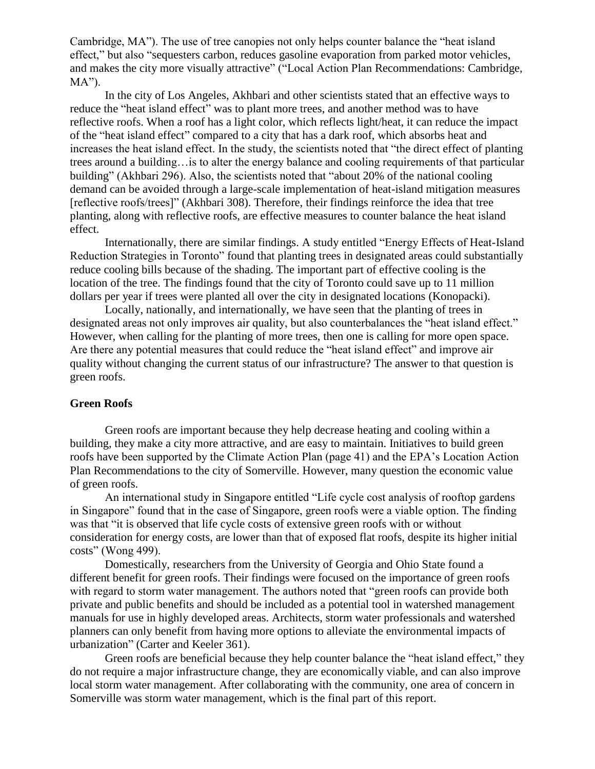Cambridge, MA"). The use of tree canopies not only helps counter balance the "heat island effect," but also "sequesters carbon, reduces gasoline evaporation from parked motor vehicles, and makes the city more visually attractive" ("Local Action Plan Recommendations: Cambridge,  $MA$ ").

In the city of Los Angeles, Akhbari and other scientists stated that an effective ways to reduce the "heat island effect" was to plant more trees, and another method was to have reflective roofs. When a roof has a light color, which reflects light/heat, it can reduce the impact of the "heat island effect" compared to a city that has a dark roof, which absorbs heat and increases the heat island effect. In the study, the scientists noted that "the direct effect of planting trees around a building…is to alter the energy balance and cooling requirements of that particular building" (Akhbari 296). Also, the scientists noted that "about 20% of the national cooling demand can be avoided through a large-scale implementation of heat-island mitigation measures [reflective roofs/trees]" (Akhbari 308). Therefore, their findings reinforce the idea that tree planting, along with reflective roofs, are effective measures to counter balance the heat island effect.

Internationally, there are similar findings. A study entitled "Energy Effects of Heat-Island Reduction Strategies in Toronto" found that planting trees in designated areas could substantially reduce cooling bills because of the shading. The important part of effective cooling is the location of the tree. The findings found that the city of Toronto could save up to 11 million dollars per year if trees were planted all over the city in designated locations (Konopacki).

Locally, nationally, and internationally, we have seen that the planting of trees in designated areas not only improves air quality, but also counterbalances the "heat island effect." However, when calling for the planting of more trees, then one is calling for more open space. Are there any potential measures that could reduce the "heat island effect" and improve air quality without changing the current status of our infrastructure? The answer to that question is green roofs.

#### **Green Roofs**

Green roofs are important because they help decrease heating and cooling within a building, they make a city more attractive, and are easy to maintain. Initiatives to build green roofs have been supported by the Climate Action Plan (page 41) and the EPA's Location Action Plan Recommendations to the city of Somerville. However, many question the economic value of green roofs.

An international study in Singapore entitled "Life cycle cost analysis of rooftop gardens in Singapore" found that in the case of Singapore, green roofs were a viable option. The finding was that "it is observed that life cycle costs of extensive green roofs with or without consideration for energy costs, are lower than that of exposed flat roofs, despite its higher initial costs" (Wong 499).

Domestically, researchers from the University of Georgia and Ohio State found a different benefit for green roofs. Their findings were focused on the importance of green roofs with regard to storm water management. The authors noted that "green roofs can provide both private and public benefits and should be included as a potential tool in watershed management manuals for use in highly developed areas. Architects, storm water professionals and watershed planners can only benefit from having more options to alleviate the environmental impacts of urbanization" (Carter and Keeler 361).

Green roofs are beneficial because they help counter balance the "heat island effect," they do not require a major infrastructure change, they are economically viable, and can also improve local storm water management. After collaborating with the community, one area of concern in Somerville was storm water management, which is the final part of this report.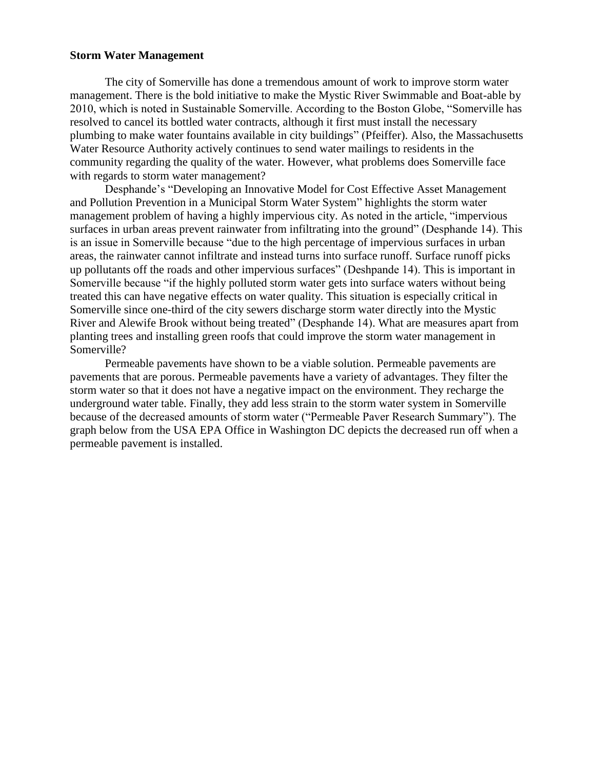#### **Storm Water Management**

The city of Somerville has done a tremendous amount of work to improve storm water management. There is the bold initiative to make the Mystic River Swimmable and Boat-able by 2010, which is noted in Sustainable Somerville. According to the Boston Globe, "Somerville has resolved to cancel its bottled water contracts, although it first must install the necessary plumbing to make water fountains available in city buildings" (Pfeiffer). Also, the Massachusetts Water Resource Authority actively continues to send water mailings to residents in the community regarding the quality of the water. However, what problems does Somerville face with regards to storm water management?

Desphande's "Developing an Innovative Model for Cost Effective Asset Management and Pollution Prevention in a Municipal Storm Water System" highlights the storm water management problem of having a highly impervious city. As noted in the article, "impervious surfaces in urban areas prevent rainwater from infiltrating into the ground" (Desphande 14). This is an issue in Somerville because "due to the high percentage of impervious surfaces in urban areas, the rainwater cannot infiltrate and instead turns into surface runoff. Surface runoff picks up pollutants off the roads and other impervious surfaces" (Deshpande 14). This is important in Somerville because "if the highly polluted storm water gets into surface waters without being treated this can have negative effects on water quality. This situation is especially critical in Somerville since one-third of the city sewers discharge storm water directly into the Mystic River and Alewife Brook without being treated" (Desphande 14). What are measures apart from planting trees and installing green roofs that could improve the storm water management in Somerville?

Permeable pavements have shown to be a viable solution. Permeable pavements are pavements that are porous. Permeable pavements have a variety of advantages. They filter the storm water so that it does not have a negative impact on the environment. They recharge the underground water table. Finally, they add less strain to the storm water system in Somerville because of the decreased amounts of storm water ("Permeable Paver Research Summary"). The graph below from the USA EPA Office in Washington DC depicts the decreased run off when a permeable pavement is installed.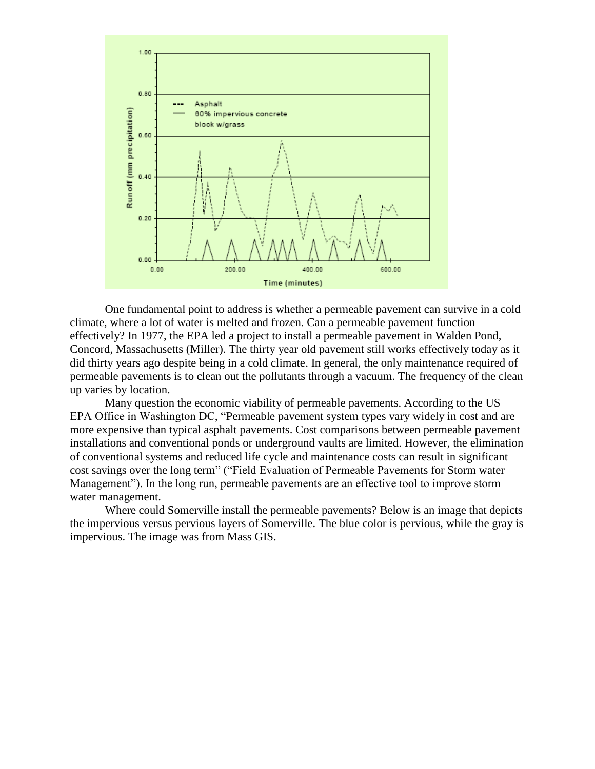

One fundamental point to address is whether a permeable pavement can survive in a cold climate, where a lot of water is melted and frozen. Can a permeable pavement function effectively? In 1977, the EPA led a project to install a permeable pavement in Walden Pond, Concord, Massachusetts (Miller). The thirty year old pavement still works effectively today as it did thirty years ago despite being in a cold climate. In general, the only maintenance required of permeable pavements is to clean out the pollutants through a vacuum. The frequency of the clean up varies by location.

Many question the economic viability of permeable pavements. According to the US EPA Office in Washington DC, "Permeable pavement system types vary widely in cost and are more expensive than typical asphalt pavements. Cost comparisons between permeable pavement installations and conventional ponds or underground vaults are limited. However, the elimination of conventional systems and reduced life cycle and maintenance costs can result in significant cost savings over the long term" ("Field Evaluation of Permeable Pavements for Storm water Management"). In the long run, permeable pavements are an effective tool to improve storm water management.

Where could Somerville install the permeable pavements? Below is an image that depicts the impervious versus pervious layers of Somerville. The blue color is pervious, while the gray is impervious. The image was from Mass GIS.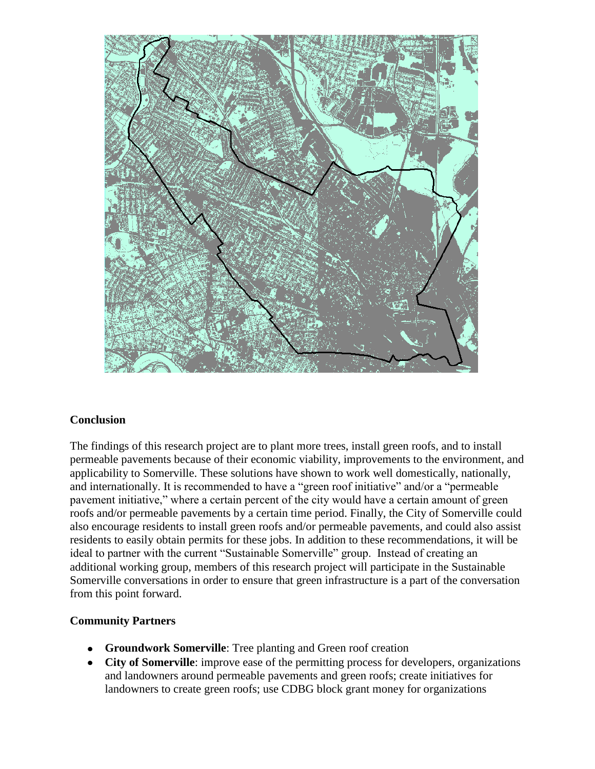

### **Conclusion**

The findings of this research project are to plant more trees, install green roofs, and to install permeable pavements because of their economic viability, improvements to the environment, and applicability to Somerville. These solutions have shown to work well domestically, nationally, and internationally. It is recommended to have a "green roof initiative" and/or a "permeable pavement initiative," where a certain percent of the city would have a certain amount of green roofs and/or permeable pavements by a certain time period. Finally, the City of Somerville could also encourage residents to install green roofs and/or permeable pavements, and could also assist residents to easily obtain permits for these jobs. In addition to these recommendations, it will be ideal to partner with the current "Sustainable Somerville" group. Instead of creating an additional working group, members of this research project will participate in the Sustainable Somerville conversations in order to ensure that green infrastructure is a part of the conversation from this point forward.

### **Community Partners**

- **Groundwork Somerville**: Tree planting and Green roof creation
- **City of Somerville**: improve ease of the permitting process for developers, organizations and landowners around permeable pavements and green roofs; create initiatives for landowners to create green roofs; use CDBG block grant money for organizations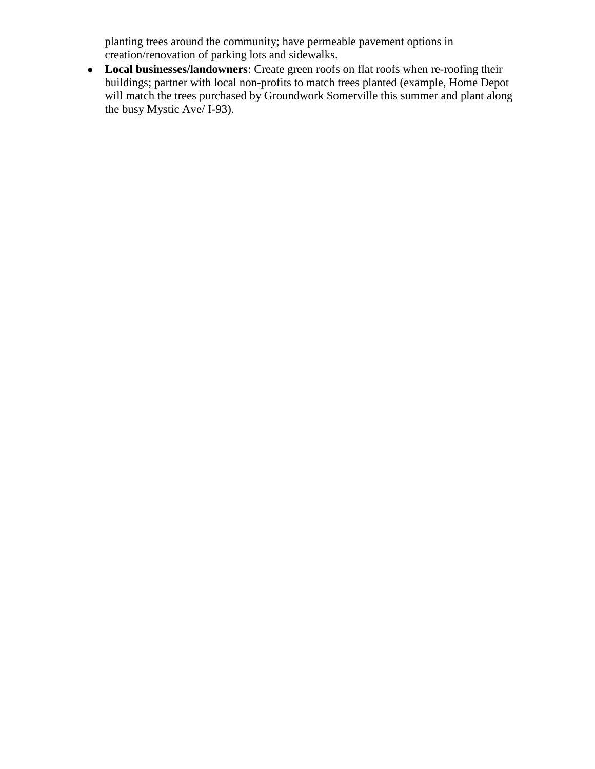planting trees around the community; have permeable pavement options in creation/renovation of parking lots and sidewalks.

• Local businesses/landowners: Create green roofs on flat roofs when re-roofing their buildings; partner with local non-profits to match trees planted (example, Home Depot will match the trees purchased by Groundwork Somerville this summer and plant along the busy Mystic Ave/ I-93).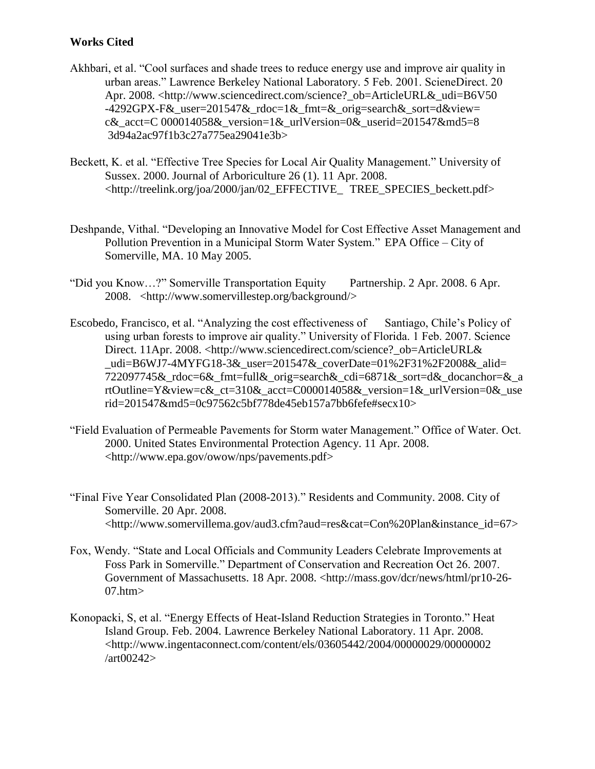## **Works Cited**

- Akhbari, et al. "Cool surfaces and shade trees to reduce energy use and improve air quality in urban areas." Lawrence Berkeley National Laboratory. 5 Feb. 2001. ScieneDirect. 20 Apr. 2008. <http://www.sciencedirect.com/science?\_ob=ArticleURL&\_udi=B6V50 -4292GPX-F& user=201547& rdoc=1&  $fmt=$ & orig=search& sort=d&view= c& acct=C 000014058& version=1& urlVersion=0& userid=201547&md5=8 3d94a2ac97f1b3c27a775ea29041e3b>
- Beckett, K. et al. "Effective Tree Species for Local Air Quality Management." University of Sussex. 2000. Journal of Arboriculture 26 (1). 11 Apr. 2008. <http://treelink.org/joa/2000/jan/02\_EFFECTIVE\_ TREE\_SPECIES\_beckett.pdf>
- Deshpande, Vithal. "Developing an Innovative Model for Cost Effective Asset Management and Pollution Prevention in a Municipal Storm Water System." EPA Office – City of Somerville, MA. 10 May 2005.
- "Did you Know…?" Somerville Transportation Equity Partnership. 2 Apr. 2008. 6 Apr. 2008. <http://www.somervillestep.org/background/>
- Escobedo, Francisco, et al. "Analyzing the cost effectiveness of Santiago, Chile's Policy of using urban forests to improve air quality." University of Florida. 1 Feb. 2007. Science Direct. 11Apr. 2008. <http://www.sciencedirect.com/science?\_ob=ArticleURL& \_udi=B6WJ7-4MYFG18-3&\_user=201547&\_coverDate=01%2F31%2F2008&\_alid= 722097745&\_rdoc=6&\_fmt=full&\_orig=search&\_cdi=6871&\_sort=d&\_docanchor=&\_a rtOutline=Y&view=c&\_ct=310&\_acct=C000014058&\_version=1&\_urlVersion=0&\_use rid=201547&md5=0c97562c5bf778de45eb157a7bb6fefe#secx10>
- "Field Evaluation of Permeable Pavements for Storm water Management." Office of Water. Oct. 2000. United States Environmental Protection Agency. 11 Apr. 2008. <http://www.epa.gov/owow/nps/pavements.pdf>
- "Final Five Year Consolidated Plan (2008-2013)." Residents and Community. 2008. City of Somerville. 20 Apr. 2008. <http://www.somervillema.gov/aud3.cfm?aud=res&cat=Con%20Plan&instance\_id=67>
- Fox, Wendy. "State and Local Officials and Community Leaders Celebrate Improvements at Foss Park in Somerville." Department of Conservation and Recreation Oct 26. 2007. Government of Massachusetts. 18 Apr. 2008. <http://mass.gov/dcr/news/html/pr10-26- 07.htm>
- Konopacki, S, et al. "Energy Effects of Heat-Island Reduction Strategies in Toronto." Heat Island Group. Feb. 2004. Lawrence Berkeley National Laboratory. 11 Apr. 2008. <http://www.ingentaconnect.com/content/els/03605442/2004/00000029/00000002 /art00242>